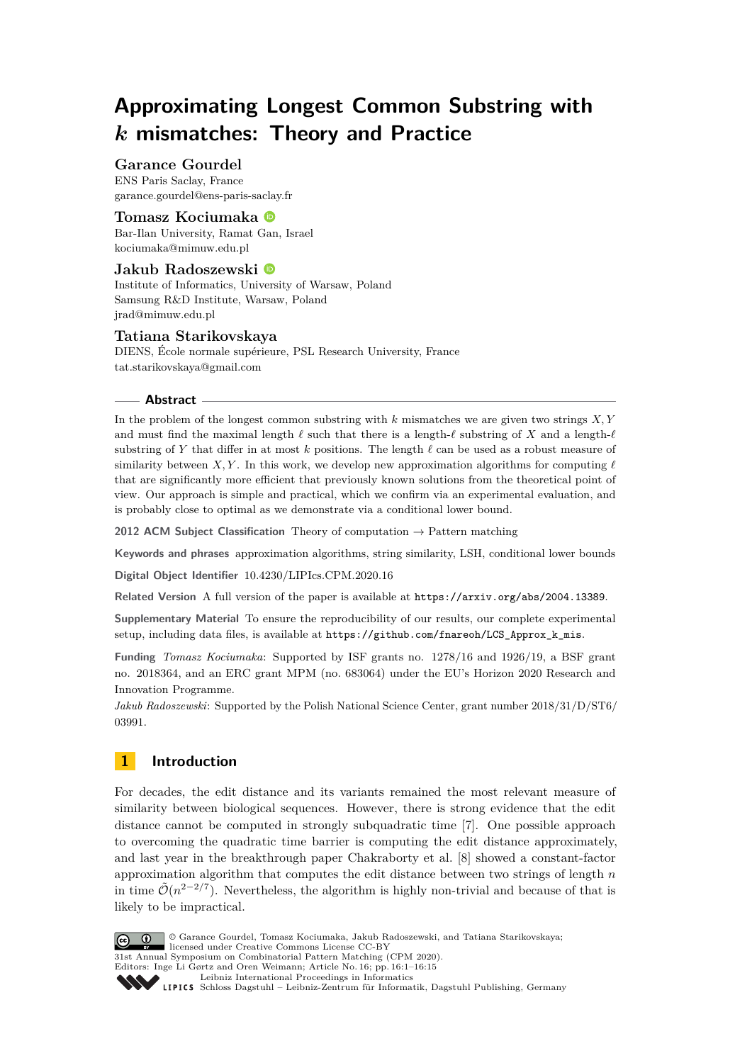# **Approximating Longest Common Substring with** *k* **mismatches: Theory and Practice**

## **Garance Gourdel**

ENS Paris Saclay, France [garance.gourdel@ens-paris-saclay.fr](mailto:garance.gourdel@ens-paris-saclay.fr)

## **Tomasz Kociumaka**

Bar-Ilan University, Ramat Gan, Israel [kociumaka@mimuw.edu.pl](mailto:kociumaka@mimuw.edu.pl)

## **Jakub Radoszewski**

Institute of Informatics, University of Warsaw, Poland Samsung R&D Institute, Warsaw, Poland [jrad@mimuw.edu.pl](mailto:jrad@mimuw.edu.pl)

## **Tatiana Starikovskaya**

DIENS, École normale supérieure, PSL Research University, France [tat.starikovskaya@gmail.com](mailto:tat.starikovskaya@gmail.com)

## **Abstract**

In the problem of the longest common substring with *k* mismatches we are given two strings *X, Y* and must find the maximal length  $\ell$  such that there is a length- $\ell$  substring of *X* and a length- $\ell$ substring of Y that differ in at most  $k$  positions. The length  $\ell$  can be used as a robust measure of similarity between *X,Y*. In this work, we develop new approximation algorithms for computing  $\ell$ that are significantly more efficient that previously known solutions from the theoretical point of view. Our approach is simple and practical, which we confirm via an experimental evaluation, and is probably close to optimal as we demonstrate via a conditional lower bound.

**2012 ACM Subject Classification** Theory of computation → Pattern matching

**Keywords and phrases** approximation algorithms, string similarity, LSH, conditional lower bounds

**Digital Object Identifier** [10.4230/LIPIcs.CPM.2020.16](https://doi.org/10.4230/LIPIcs.CPM.2020.16)

Related Version A full version of the paper is available at <https://arxiv.org/abs/2004.13389>.

**Supplementary Material** To ensure the reproducibility of our results, our complete experimental setup, including data files, is available at [https://github.com/fnareoh/LCS\\_Approx\\_k\\_mis](https://github.com/fnareoh/LCS_Approx_k_mis).

**Funding** *Tomasz Kociumaka*: Supported by ISF grants no. 1278/16 and 1926/19, a BSF grant no. 2018364, and an ERC grant MPM (no. 683064) under the EU's Horizon 2020 Research and Innovation Programme.

*Jakub Radoszewski*: Supported by the Polish National Science Center, grant number 2018/31/D/ST6/ 03991.

## **1 Introduction**

For decades, the edit distance and its variants remained the most relevant measure of similarity between biological sequences. However, there is strong evidence that the edit distance cannot be computed in strongly subquadratic time [\[7\]](#page-13-0). One possible approach to overcoming the quadratic time barrier is computing the edit distance approximately, and last year in the breakthrough paper Chakraborty et al. [\[8\]](#page-13-1) showed a constant-factor approximation algorithm that computes the edit distance between two strings of length *n* in time  $\tilde{\mathcal{O}}(n^{2-2/7})$ . Nevertheless, the algorithm is highly non-trivial and because of that is likely to be impractical.



© Garance Gourdel, Tomasz Kociumaka, Jakub Radoszewski, and Tatiana Starikovskaya; licensed under Creative Commons License CC-BY 31st Annual Symposium on Combinatorial Pattern Matching (CPM 2020).

Editors: Inge Li Gørtz and Oren Weimann; Article No. 16; pp. 16:1–16[:15](#page-14-0)

[Leibniz International Proceedings in Informatics](https://www.dagstuhl.de/lipics/) Leibniz international Floretungs in missimosische Publishing, Germany<br>LIPICS [Schloss Dagstuhl – Leibniz-Zentrum für Informatik, Dagstuhl Publishing, Germany](https://www.dagstuhl.de)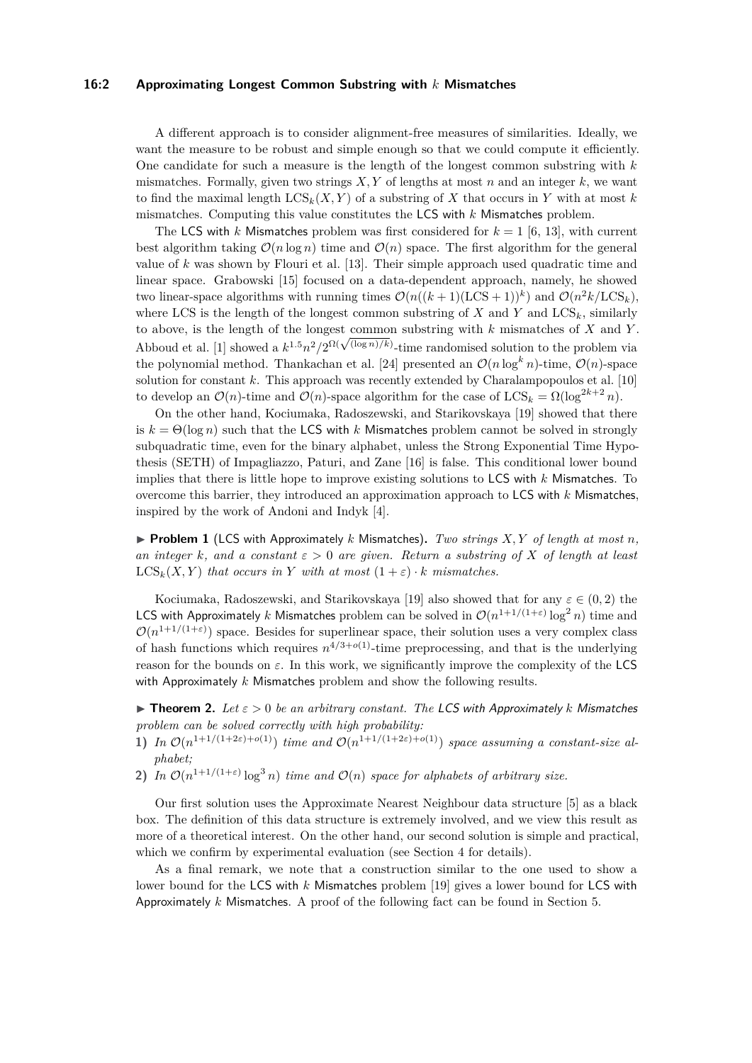#### **16:2 Approximating Longest Common Substring with** *k* **Mismatches**

A different approach is to consider alignment-free measures of similarities. Ideally, we want the measure to be robust and simple enough so that we could compute it efficiently. One candidate for such a measure is the length of the longest common substring with *k* mismatches. Formally, given two strings  $X, Y$  of lengths at most  $n$  and an integer  $k$ , we want to find the maximal length  $LCS_k(X, Y)$  of a substring of X that occurs in Y with at most k mismatches. Computing this value constitutes the LCS with *k* Mismatches problem.

The LCS with *k* Mismatches problem was first considered for  $k = 1$  [\[6,](#page-13-2) [13\]](#page-13-3), with current best algorithm taking  $\mathcal{O}(n \log n)$  time and  $\mathcal{O}(n)$  space. The first algorithm for the general value of *k* was shown by Flouri et al. [\[13\]](#page-13-3). Their simple approach used quadratic time and linear space. Grabowski [\[15\]](#page-13-4) focused on a data-dependent approach, namely, he showed two linear-space algorithms with running times  $\mathcal{O}(n((k+1)(\text{LCS}+1))^k)$  and  $\mathcal{O}(n^2k/\text{LCS}_k)$ , where LCS is the length of the longest common substring of  $X$  and  $Y$  and  $LCS_k$ , similarly to above, is the length of the longest common substring with *k* mismatches of *X* and *Y* . to above, is the length of the longest common substring with  $\kappa$  mismatches of  $\Lambda$  and  $\Lambda$ <br>Abboud et al. [\[1\]](#page-12-0) showed a  $k^{1.5}n^2/2^{\Omega(\sqrt{(\log n)/k})}$ -time randomised solution to the problem via the polynomial method. Thankachan et al. [\[24\]](#page-13-5) presented an  $\mathcal{O}(n \log^k n)$ -time,  $\mathcal{O}(n)$ -space solution for constant *k*. This approach was recently extended by Charalampopoulos et al. [\[10\]](#page-13-6) to develop an  $\mathcal{O}(n)$ -time and  $\mathcal{O}(n)$ -space algorithm for the case of  $LCS_k = \Omega(\log^{2k+2} n)$ .

On the other hand, Kociumaka, Radoszewski, and Starikovskaya [\[19\]](#page-13-7) showed that there is  $k = \Theta(\log n)$  such that the LCS with *k* Mismatches problem cannot be solved in strongly subquadratic time, even for the binary alphabet, unless the Strong Exponential Time Hypothesis (SETH) of Impagliazzo, Paturi, and Zane [\[16\]](#page-13-8) is false. This conditional lower bound implies that there is little hope to improve existing solutions to LCS with *k* Mismatches. To overcome this barrier, they introduced an approximation approach to LCS with *k* Mismatches, inspired by the work of Andoni and Indyk [\[4\]](#page-12-1).

 $\triangleright$  **Problem 1** (LCS with Approximately *k* Mismatches). *Two strings X,Y of length at most n, an integer k*, and a constant  $\varepsilon > 0$  *are given. Return a substring of X of length at least*  $LCS<sub>k</sub>(X, Y)$  *that occurs in Y with at most*  $(1 + \varepsilon) \cdot k$  *mismatches.* 

Kociumaka, Radoszewski, and Starikovskaya [\[19\]](#page-13-7) also showed that for any  $\varepsilon \in (0, 2)$  the LCS with Approximately *k* Mismatches problem can be solved in  $\mathcal{O}(n^{1+1/(1+\varepsilon)}\log^2 n)$  time and  $\mathcal{O}(n^{1+1/(1+\varepsilon)})$  space. Besides for superlinear space, their solution uses a very complex class of hash functions which requires  $n^{4/3+o(1)}$ -time preprocessing, and that is the underlying reason for the bounds on  $\varepsilon$ . In this work, we significantly improve the complexity of the LCS with Approximately *k* Mismatches problem and show the following results.

<span id="page-1-0"></span>**Theorem 2.** Let  $\epsilon > 0$  be an arbitrary constant. The LCS with Approximately *k* Mismatches *problem can be solved correctly with high probability:*

- 1) In  $\mathcal{O}(n^{1+1/(1+2\varepsilon)+o(1)})$  *time and*  $\mathcal{O}(n^{1+1/(1+2\varepsilon)+o(1)})$  *space assuming a constant-size alphabet;*
- **2)** *In*  $\mathcal{O}(n^{1+1/(1+\epsilon)} \log^3 n)$  *time and*  $\mathcal{O}(n)$  *space for alphabets of arbitrary size.*

Our first solution uses the Approximate Nearest Neighbour data structure [\[5\]](#page-13-9) as a black box. The definition of this data structure is extremely involved, and we view this result as more of a theoretical interest. On the other hand, our second solution is simple and practical, which we confirm by experimental evaluation (see Section [4](#page-8-0) for details).

<span id="page-1-1"></span>As a final remark, we note that a construction similar to the one used to show a lower bound for the LCS with *k* Mismatches problem [\[19\]](#page-13-7) gives a lower bound for LCS with Approximately *k* Mismatches. A proof of the following fact can be found in Section [5.](#page-11-0)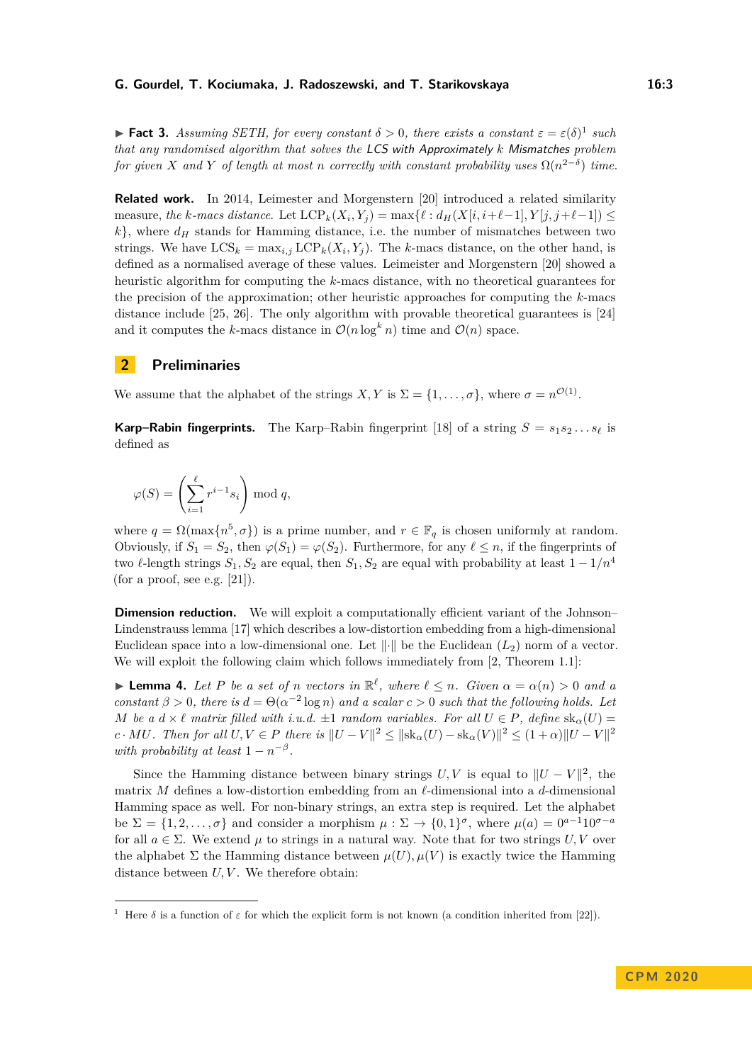**Fact 3.** Assuming SETH, for every constant  $\delta > 0$ , there exists a constant  $\varepsilon = \varepsilon(\delta)^1$  $\varepsilon = \varepsilon(\delta)^1$  such *that any randomised algorithm that solves the* LCS with Approximately *k* Mismatches *problem for given X* and *Y of length at most n correctly with constant probability uses*  $\Omega(n^{2-\delta})$  *time.* 

**Related work.** In 2014, Leimester and Morgenstern [\[20\]](#page-13-10) introduced a related similarity measure, the k-macs distance. Let  $LCP_k(X_i, Y_j) = \max\{\ell : d_H(X[i, i+\ell-1], Y[j, j+\ell-1]) \leq \ell\}$  $k$ , where  $d_H$  stands for Hamming distance, i.e. the number of mismatches between two strings. We have  $LCS_k = \max_{i,j} LCP_k(X_i, Y_j)$ . The *k*-macs distance, on the other hand, is defined as a normalised average of these values. Leimeister and Morgenstern [\[20\]](#page-13-10) showed a heuristic algorithm for computing the *k*-macs distance, with no theoretical guarantees for the precision of the approximation; other heuristic approaches for computing the *k*-macs distance include [\[25,](#page-14-1) [26\]](#page-14-2). The only algorithm with provable theoretical guarantees is [\[24\]](#page-13-5) and it computes the *k*-macs distance in  $\mathcal{O}(n \log^k n)$  time and  $\mathcal{O}(n)$  space.

## <span id="page-2-1"></span>**2 Preliminaries**

We assume that the alphabet of the strings  $X, Y$  is  $\Sigma = \{1, \ldots, \sigma\}$ , where  $\sigma = n^{\mathcal{O}(1)}$ .

**Karp–Rabin fingerprints.** The Karp–Rabin fingerprint [\[18\]](#page-13-11) of a string  $S = s_1 s_2 \dots s_\ell$  is defined as

$$
\varphi(S) = \left(\sum_{i=1}^{\ell} r^{i-1} s_i\right) \bmod q,
$$

where  $q = \Omega(\max\{n^5, \sigma\})$  is a prime number, and  $r \in \mathbb{F}_q$  is chosen uniformly at random. Obviously, if  $S_1 = S_2$ , then  $\varphi(S_1) = \varphi(S_2)$ . Furthermore, for any  $\ell \leq n$ , if the fingerprints of two  $\ell$ -length strings  $S_1, S_2$  are equal, then  $S_1, S_2$  are equal with probability at least  $1 - 1/n^4$ (for a proof, see e.g.  $[21]$ ).

**Dimension reduction.** We will exploit a computationally efficient variant of the Johnson-Lindenstrauss lemma [\[17\]](#page-13-13) which describes a low-distortion embedding from a high-dimensional Euclidean space into a low-dimensional one. Let  $\|\cdot\|$  be the Euclidean  $(L_2)$  norm of a vector. We will exploit the following claim which follows immediately from [\[2,](#page-12-2) Theorem 1.1]:

**Example 4.** Let P be a set of n vectors in  $\mathbb{R}^{\ell}$ , where  $\ell \leq n$ . Given  $\alpha = \alpha(n) > 0$  and a *constant*  $\beta > 0$ , there is  $d = \Theta(\alpha^{-2} \log n)$  *and a scalar*  $c > 0$  *such that the following holds. Let M be a*  $d \times l$  *matrix filled with i.u.d.*  $\pm 1$  *random variables. For all*  $U \in P$ *, define*  $sk_{\alpha}(U)$  =  $c \cdot MU$ . Then for all  $U, V \in P$  there is  $||U - V||^2 \le ||\text{sk}_{\alpha}(U) - \text{sk}_{\alpha}(V)||^2 \le (1 + \alpha) ||U - V||^2$ *with probability at least*  $1 - n^{-\beta}$ .

Since the Hamming distance between binary strings  $U, V$  is equal to  $||U - V||^2$ , the matrix *M* defines a low-distortion embedding from an  $\ell$ -dimensional into a *d*-dimensional Hamming space as well. For non-binary strings, an extra step is required. Let the alphabet be  $\Sigma = \{1, 2, \ldots, \sigma\}$  and consider a morphism  $\mu : \Sigma \to \{0, 1\}^{\sigma}$ , where  $\mu(a) = 0^{a-1}10^{\sigma-a}$ for all  $a \in \Sigma$ . We extend  $\mu$  to strings in a natural way. Note that for two strings *U*, *V* over the alphabet  $\Sigma$  the Hamming distance between  $\mu(U), \mu(V)$  is exactly twice the Hamming distance between  $U, V$ . We therefore obtain:

<span id="page-2-2"></span><span id="page-2-0"></span><sup>&</sup>lt;sup>1</sup> Here  $\delta$  is a function of  $\varepsilon$  for which the explicit form is not known (a condition inherited from [\[22\]](#page-13-14)).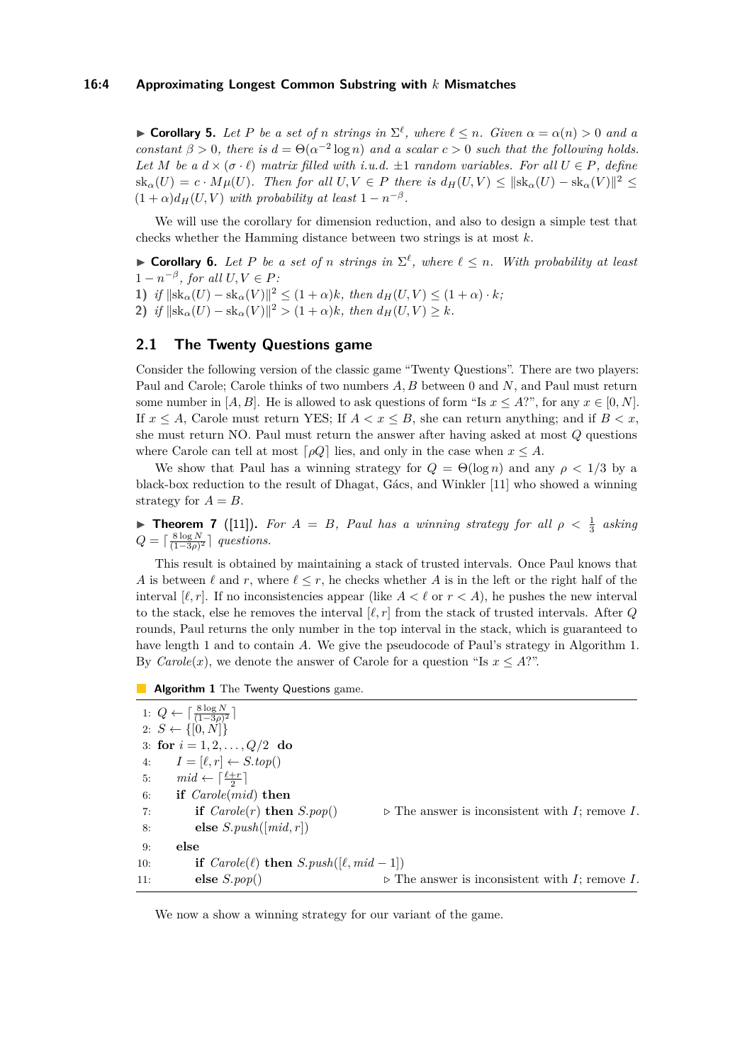$\blacktriangleright$  **Corollary 5.** Let P be a set of *n* strings in  $\Sigma^{\ell}$ , where  $\ell \leq n$ . Given  $\alpha = \alpha(n) > 0$  and a *constant*  $\beta > 0$ *, there is*  $d = \Theta(\alpha^{-2} \log n)$  *and a scalar*  $c > 0$  *such that the following holds. Let M be a*  $d \times (\sigma \cdot \ell)$  *matrix filled with i.u.d.*  $\pm 1$  *random variables. For all*  $U \in P$ *, define*  $\operatorname{sk}_{\alpha}(U) = c \cdot M\mu(U)$ *. Then for all*  $U, V \in P$  *there is*  $d_H(U, V) \le ||\operatorname{sk}_{\alpha}(U) - \operatorname{sk}_{\alpha}(V)||^2 \le$  $(1 + \alpha)d_H(U, V)$  *with probability at least*  $1 - n^{-\beta}$ .

We will use the corollary for dimension reduction, and also to design a simple test that checks whether the Hamming distance between two strings is at most *k*.

**Corollary 6.** Let P be a set of *n* strings in  $\Sigma^{\ell}$ , where  $\ell \leq n$ . With probability at least  $1 - n^{-\beta}$ , for all  $U, V \in P$ :

**1)** if  $||\text{sk}_{\alpha}(U) - \text{sk}_{\alpha}(V)||^2 \leq (1 + \alpha)k$ , then  $d_H(U, V) \leq (1 + \alpha) \cdot k$ ; **2)** *if*  $\|\text{sk}_{\alpha}(U) - \text{sk}_{\alpha}(V)\|^2 > (1 + \alpha)k$ *, then*  $d_H(U, V) \geq k$ *.* 

## <span id="page-3-1"></span>**2.1 The Twenty Questions game**

Consider the following version of the classic game "Twenty Questions". There are two players: Paul and Carole; Carole thinks of two numbers *A, B* between 0 and *N*, and Paul must return some number in [*A, B*]. He is allowed to ask questions of form "Is  $x \leq A$ ?", for any  $x \in [0, N]$ . If  $x \leq A$ , Carole must return YES; If  $A < x \leq B$ , she can return anything; and if  $B < x$ , she must return NO. Paul must return the answer after having asked at most *Q* questions where Carole can tell at most  $\lceil \rho Q \rceil$  lies, and only in the case when  $x \leq A$ .

We show that Paul has a winning strategy for  $Q = \Theta(\log n)$  and any  $\rho < 1/3$  by a black-box reduction to the result of Dhagat, Gács, and Winkler [\[11\]](#page-13-15) who showed a winning strategy for  $A = B$ .

**Find Theorem 7** ([\[11\]](#page-13-15)). For  $A = B$ , Paul has a winning strategy for all  $\rho < \frac{1}{3}$  asking  $Q = \lceil \frac{8 \log N}{(1-3\rho)^2} \rceil$  questions.

This result is obtained by maintaining a stack of trusted intervals. Once Paul knows that *A* is between  $\ell$  and *r*, where  $\ell \leq r$ , he checks whether *A* is in the left or the right half of the interval  $[\ell, r]$ . If no inconsistencies appear (like  $A < \ell$  or  $r < A$ ), he pushes the new interval to the stack, else he removes the interval  $[\ell, r]$  from the stack of trusted intervals. After *Q* rounds, Paul returns the only number in the top interval in the stack, which is guaranteed to have length 1 and to contain *A*. We give the pseudocode of Paul's strategy in Algorithm [1.](#page-3-0) By *Carole*(*x*), we denote the answer of Carole for a question "Is  $x \leq A$ ?".

<span id="page-3-0"></span>**Algorithm 1** The Twenty Questions game.

1:  $Q \leftarrow \lceil \frac{8 \log N}{(1-3\rho)^2} \rceil$ 2: *S* ← {[0*, N*]} 3: **for**  $i = 1, 2, ..., Q/2$  **do** 4:  $I = [\ell, r] \leftarrow S.\text{top}()$ 5:  $mid \leftarrow \lceil \frac{\ell+r}{2} \rceil$ 6: **if** *Carole*(*mid*) **then** 7: **if**  $Carole(r)$  **then**  $S.pop()$   $\triangleright$  The answer is inconsistent with *I*; remove *I*. 8: **else** *S.push*([*mid, r*]) 9: **else** 10: **if**  $\text{Carole}(\ell)$  **then**  $S.\text{push}([\ell, mid-1])$ 11: **else**  $S.pop()$   $\triangleright$  The answer is inconsistent with *I*; remove *I*.

We now a show a winning strategy for our variant of the game.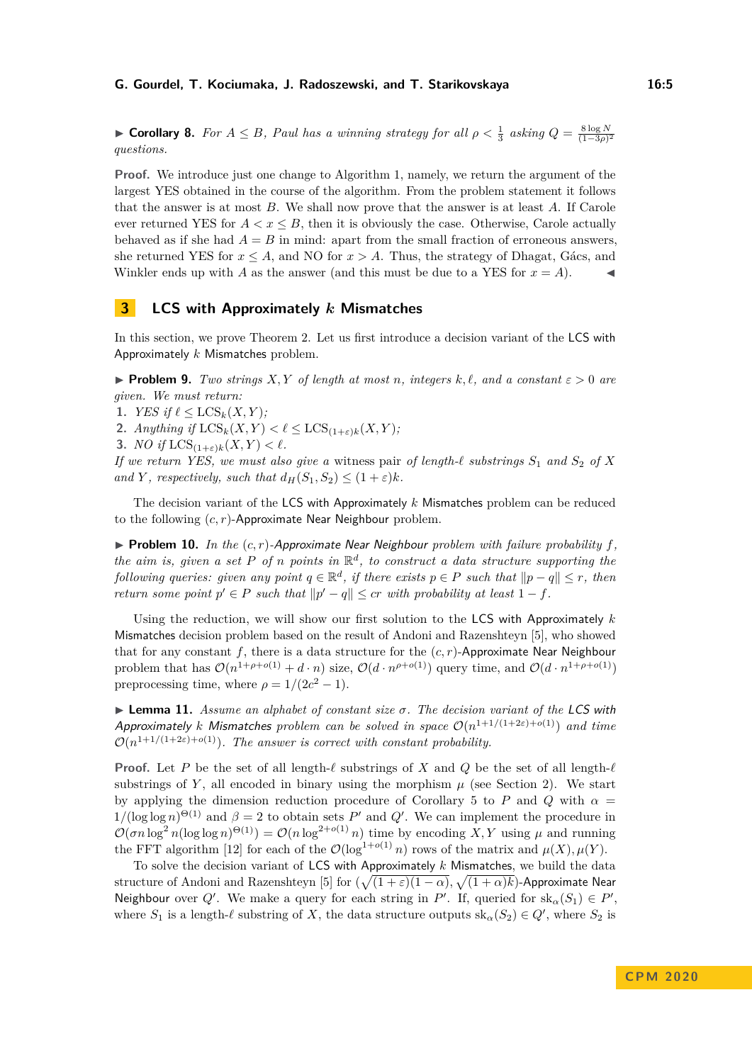► **Corollary 8.** *For*  $A \leq B$ *, Paul has a winning strategy for all*  $\rho < \frac{1}{3}$  *asking*  $Q = \frac{8 \log N}{(1-3\rho)^2}$ *questions.*

**Proof.** We introduce just one change to Algorithm [1,](#page-3-0) namely, we return the argument of the largest YES obtained in the course of the algorithm. From the problem statement it follows that the answer is at most *B*. We shall now prove that the answer is at least *A*. If Carole ever returned YES for  $A < x \leq B$ , then it is obviously the case. Otherwise, Carole actually behaved as if she had  $A = B$  in mind: apart from the small fraction of erroneous answers, she returned YES for  $x \leq A$ , and NO for  $x > A$ . Thus, the strategy of Dhagat, Gács, and Winkler ends up with *A* as the answer (and this must be due to a YES for  $x = A$ ).

## **3 LCS with Approximately** *k* **Mismatches**

In this section, we prove Theorem [2.](#page-1-0) Let us first introduce a decision variant of the LCS with Approximately *k* Mismatches problem.

**Problem 9.** *Two strings*  $X, Y$  *of length at most n, integers*  $k, \ell$ , and a constant  $\varepsilon > 0$  are *given. We must return:*

1. *YES* if  $\ell \leq LCS_k(X, Y)$ ;

**2.** *Anything if*  $LCS_k(X, Y) < \ell \leq LCS_{(1+\varepsilon)k}(X, Y);$ 

**3.** *NO* if  $LCS_{(1+\epsilon)k}(X, Y) < l$ .

*If we return YES, we must also give a witness pair of length-* $\ell$  *substrings*  $S_1$  *and*  $S_2$  *of*  $X$ *and Y, respectively, such that*  $d_H(S_1, S_2) \leq (1 + \varepsilon)k$ *.* 

The decision variant of the LCS with Approximately *k* Mismatches problem can be reduced to the following (*c, r*)-Approximate Near Neighbour problem.

 $\triangleright$  **Problem 10.** In the  $(c, r)$ -Approximate Near Neighbour problem with failure probability f, *the aim is, given a set*  $P$  *of*  $n$  *points in*  $\mathbb{R}^d$ *, to construct a data structure supporting the following queries: given any point*  $q \in \mathbb{R}^d$ , *if there exists*  $p \in P$  *such that*  $||p - q|| \leq r$ , *then return some point*  $p' \in P$  *such that*  $||p' - q|| \leq cr$  *with probability at least*  $1 - f$ *.* 

Using the reduction, we will show our first solution to the LCS with Approximately *k* Mismatches decision problem based on the result of Andoni and Razenshteyn [\[5\]](#page-13-9), who showed that for any constant  $f$ , there is a data structure for the  $(c, r)$ -Approximate Near Neighbour problem that has  $\mathcal{O}(n^{1+\rho+o(1)}+d\cdot n)$  size,  $\mathcal{O}(d\cdot n^{\rho+o(1)})$  query time, and  $\mathcal{O}(d\cdot n^{1+\rho+o(1)})$ preprocessing time, where  $\rho = 1/(2c^2 - 1)$ .

<span id="page-4-0"></span>I **Lemma 11.** *Assume an alphabet of constant size σ. The decision variant of the* LCS with Approximately *k* Mismatches *problem can be solved in space* O(*n* 1+1*/*(1+2*ε*)+*o*(1)) *and time*  $\mathcal{O}(n^{1+1/(1+2\varepsilon)+o(1)})$ . The answer is correct with constant probability.

**Proof.** Let P be the set of all length- $\ell$  substrings of X and Q be the set of all length- $\ell$ substrings of  $Y$ , all encoded in binary using the morphism  $\mu$  (see Section [2\)](#page-2-1). We start by applying the dimension reduction procedure of Corollary [5](#page-2-2) to P and Q with  $\alpha =$  $1/(\log \log n)^{\Theta(1)}$  and  $\beta = 2$  to obtain sets P' and Q'. We can implement the procedure in  $\mathcal{O}(\sigma n \log^2 n(\log \log n)^{\Theta(1)}) = \mathcal{O}(n \log^{2+o(1)} n)$  time by encoding X, Y using  $\mu$  and running the FFT algorithm [\[12\]](#page-13-16) for each of the  $\mathcal{O}(\log^{1+o(1)} n)$  rows of the matrix and  $\mu(X), \mu(Y)$ .

To solve the decision variant of LCS with Approximately *k* Mismatches, we build the data structure of Andoni and Razenshteyn [\[5\]](#page-13-9) for  $(\sqrt{(1+\varepsilon)(1-\alpha)},\sqrt{(1+\alpha)k})$ -Approximate Near Neighbour over  $Q'$ . We make a query for each string in *P'*. If, queried for  $sk_{\alpha}(S_1) \in P'$ , where  $S_1$  is a length- $\ell$  substring of *X*, the data structure outputs  $sk_\alpha(S_2) \in Q'$ , where  $S_2$  is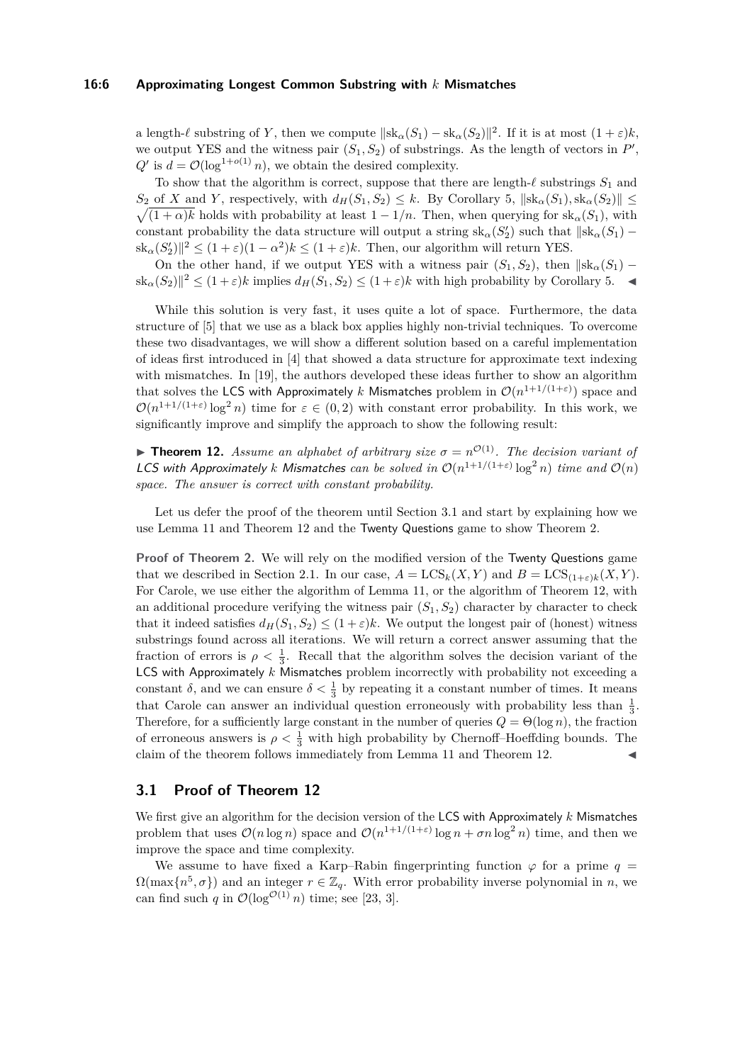#### **16:6 Approximating Longest Common Substring with** *k* **Mismatches**

a length- $\ell$  substring of *Y*, then we compute  $\|\text{sk}_{\alpha}(S_1) - \text{sk}_{\alpha}(S_2)\|^2$ . If it is at most  $(1 + \varepsilon)k$ , we output YES and the witness pair  $(S_1, S_2)$  of substrings. As the length of vectors in  $P'$ ,  $Q'$  is  $d = \mathcal{O}(\log^{1+o(1)} n)$ , we obtain the desired complexity.

To show that the algorithm is correct, suppose that there are length- $\ell$  substrings  $S_1$  and  $S_2$  of *X* and *Y*, respectively, with  $d_H(S_1, S_2) \leq k$ . By Corollary [5,](#page-2-2)  $\|\text{sk}_{\alpha}(S_1), \text{sk}_{\alpha}(S_2)\| \leq k$  $\sqrt{(1 + \alpha)k}$  holds with probability at least  $1 - 1/n$ . Then, when querying for sk<sub>α</sub>(*S*<sub>1</sub>), with constant probability the data structure will output a string  $sk_{\alpha}(S_2')$  such that  $\| sk_{\alpha}(S_1) |\text{sk}_{\alpha}(S'_2)|^2 \leq (1+\varepsilon)(1-\alpha^2)k \leq (1+\varepsilon)k$ . Then, our algorithm will return YES.

On the other hand, if we output YES with a witness pair  $(S_1, S_2)$ , then  $||\text{sk}_{\alpha}(S_1) |\operatorname{sk}_{\alpha}(S_2)|^2 \leq (1+\varepsilon)k$  implies  $d_H(S_1, S_2) \leq (1+\varepsilon)k$  with high probability by Corollary [5.](#page-2-2)

While this solution is very fast, it uses quite a lot of space. Furthermore, the data structure of [\[5\]](#page-13-9) that we use as a black box applies highly non-trivial techniques. To overcome these two disadvantages, we will show a different solution based on a careful implementation of ideas first introduced in [\[4\]](#page-12-1) that showed a data structure for approximate text indexing with mismatches. In [\[19\]](#page-13-7), the authors developed these ideas further to show an algorithm that solves the LCS with Approximately  $k$  Mismatches problem in  $\mathcal{O}(n^{1+1/(1+\varepsilon)})$  space and  $\mathcal{O}(n^{1+1/(1+\varepsilon)}\log^2 n)$  time for  $\varepsilon \in (0,2)$  with constant error probability. In this work, we significantly improve and simplify the approach to show the following result:

<span id="page-5-1"></span>**Theorem 12.** *Assume an alphabet of arbitrary size*  $\sigma = n^{\mathcal{O}(1)}$ *. The decision variant of* LCS with Approximately *k* Mismatches can be solved in  $O(n^{1+1/(1+\epsilon)}\log^2 n)$  time and  $O(n)$ *space. The answer is correct with constant probability.*

Let us defer the proof of the theorem until Section [3.1](#page-5-0) and start by explaining how we use Lemma [11](#page-4-0) and Theorem [12](#page-5-1) and the Twenty Questions game to show Theorem [2.](#page-1-0)

**Proof of Theorem [2.](#page-1-0)** We will rely on the modified version of the Twenty Questions game that we described in Section [2.1.](#page-3-1) In our case,  $A = \text{LCS}_k(X, Y)$  and  $B = \text{LCS}_{(1+\varepsilon)k}(X, Y)$ . For Carole, we use either the algorithm of Lemma [11,](#page-4-0) or the algorithm of Theorem [12,](#page-5-1) with an additional procedure verifying the witness pair  $(S_1, S_2)$  character by character to check that it indeed satisfies  $d_H(S_1, S_2) \leq (1 + \varepsilon)k$ . We output the longest pair of (honest) witness substrings found across all iterations. We will return a correct answer assuming that the fraction of errors is  $\rho < \frac{1}{3}$ . Recall that the algorithm solves the decision variant of the LCS with Approximately *k* Mismatches problem incorrectly with probability not exceeding a constant  $\delta$ , and we can ensure  $\delta < \frac{1}{3}$  by repeating it a constant number of times. It means that Carole can answer an individual question erroneously with probability less than  $\frac{1}{3}$ . Therefore, for a sufficiently large constant in the number of queries  $Q = \Theta(\log n)$ , the fraction of erroneous answers is  $\rho < \frac{1}{3}$  with high probability by Chernoff–Hoeffding bounds. The claim of the theorem follows immediately from Lemma [11](#page-4-0) and Theorem [12.](#page-5-1)

## <span id="page-5-0"></span>**3.1 Proof of Theorem [12](#page-5-1)**

We first give an algorithm for the decision version of the LCS with Approximately *k* Mismatches problem that uses  $\mathcal{O}(n \log n)$  space and  $\mathcal{O}(n^{1+1/(1+\varepsilon)} \log n + \sigma n \log^2 n)$  time, and then we improve the space and time complexity.

We assume to have fixed a Karp–Rabin fingerprinting function  $\varphi$  for a prime  $q =$  $\Omega(\max\{n^5, \sigma\})$  and an integer  $r \in \mathbb{Z}_q$ . With error probability inverse polynomial in *n*, we can find such *q* in  $\mathcal{O}(\log^{\mathcal{O}(1)} n)$  time; see [\[23,](#page-13-17) [3\]](#page-12-3).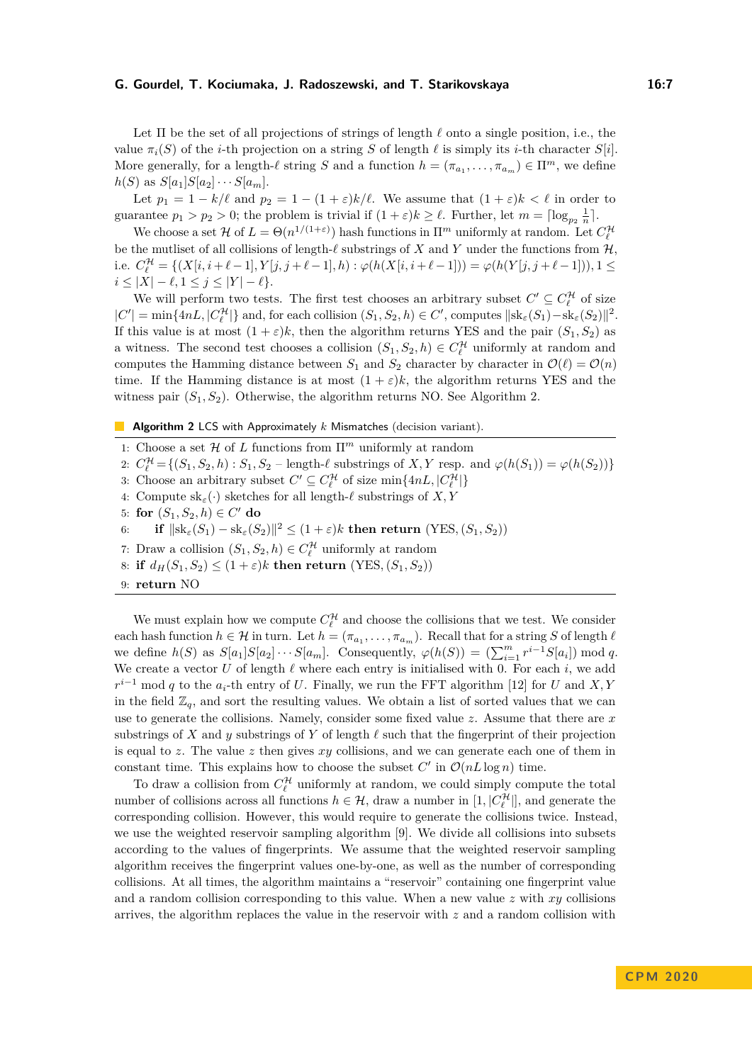Let  $\Pi$  be the set of all projections of strings of length  $\ell$  onto a single position, i.e., the value  $\pi_i(S)$  of the *i*-th projection on a string *S* of length  $\ell$  is simply its *i*-th character *S*[*i*]. More generally, for a length- $\ell$  string *S* and a function  $h = (\pi_{a_1}, \ldots, \pi_{a_m}) \in \Pi^m$ , we define *h*(*S*) as  $S[a_1]S[a_2] \cdots S[a_m]$ .

Let  $p_1 = 1 - k/\ell$  and  $p_2 = 1 - (1 + \varepsilon)k/\ell$ . We assume that  $(1 + \varepsilon)k < \ell$  in order to guarantee  $p_1 > p_2 > 0$ ; the problem is trivial if  $(1 + \varepsilon)k \geq \ell$ . Further, let  $m = \lceil \log_{p_2} \frac{1}{n} \rceil$ .

We choose a set  $\mathcal H$  of  $L = \Theta(n^{1/(1+\varepsilon)})$  hash functions in  $\Pi^m$  uniformly at random. Let  $C_{\ell}^{\mathcal H}$ be the mutliset of all collisions of length- $\ell$  substrings of X and Y under the functions from  $\mathcal{H}$ . i.e.  $C_{\ell}^{\mathcal{H}} = \{(X[i, i+\ell-1], Y[j, j+\ell-1], h) : \varphi(h(X[i, i+\ell-1])) = \varphi(h(Y[j, j+\ell-1])), 1 \leq$ *i* ≤ |*X*| −  $\ell$ , 1 ≤ *j* ≤ |*Y*| −  $\ell$ }.

We will perform two tests. The first test chooses an arbitrary subset  $C' \subseteq C_{\ell}^{\mathcal{H}}$  of size  $|C'| = \min\{4nL, |C^{\mathcal{H}}_{\ell}|\}$  and, for each collision  $(S_1, S_2, h) \in C'$ , computes  $\|\text{sk}_{\varepsilon}(S_1) - \text{sk}_{\varepsilon}(S_2)\|^2$ . If this value is at most  $(1 + \varepsilon)k$ , then the algorithm returns YES and the pair  $(S_1, S_2)$  as a witness. The second test chooses a collision  $(S_1, S_2, h) \in C_{\ell}^{\mathcal{H}}$  uniformly at random and computes the Hamming distance between  $S_1$  and  $S_2$  character by character in  $\mathcal{O}(\ell) = \mathcal{O}(n)$ time. If the Hamming distance is at most  $(1 + \varepsilon)k$ , the algorithm returns YES and the witness pair  $(S_1, S_2)$ . Otherwise, the algorithm returns NO. See Algorithm [2.](#page-6-0)

<span id="page-6-0"></span>**Algorithm 2** LCS with Approximately *k* Mismatches (decision variant).

1: Choose a set H of *L* functions from Π*<sup>m</sup>* uniformly at random

2:  $C_{\ell}^{\mathcal{H}} = \{(S_1, S_2, h) : S_1, S_2 - \text{length-}\ell \text{ substrings of } X, Y \text{ resp. and } \varphi(h(S_1)) = \varphi(h(S_2))\}$ 

3: Choose an arbitrary subset  $C' \subseteq C_{\ell}^{\mathcal{H}}$  of size  $\min\{4nL, |C_{\ell}^{\mathcal{H}}|\}$ 

4: Compute  $\text{sk}_{\varepsilon}(\cdot)$  sketches for all length- $\ell$  substrings of  $X, Y$ 

5: for 
$$
(S_1, S_2, h) \in C'
$$
 do

 $6:$  **if**  $\|\text{sk}_{\varepsilon}(S_1) - \text{sk}_{\varepsilon}(S_2)\|^2 \leq (1+\varepsilon)k$  then return  $(\text{YES}, (S_1, S_2))$ 

- 7: Draw a collision  $(S_1, S_2, h) \in C_{\ell}^{\mathcal{H}}$  uniformly at random
- 8: **if**  $d_H(S_1, S_2) \leq (1 + \varepsilon)k$  **then return**  $(YES, (S_1, S_2))$
- 9: **return** NO

We must explain how we compute  $C_{\ell}^{\mathcal{H}}$  and choose the collisions that we test. We consider each hash function  $h \in \mathcal{H}$  in turn. Let  $h = (\pi_{a_1}, \ldots, \pi_{a_m})$ . Recall that for a string *S* of length  $\ell$ we define  $h(S)$  as  $S[a_1]S[a_2]\cdots S[a_m]$ . Consequently,  $\varphi(h(S)) = (\sum_{i=1}^m r^{i-1}S[a_i]) \bmod q$ . We create a vector  $U$  of length  $\ell$  where each entry is initialised with 0. For each  $i$ , we add  $r^{i-1}$  mod *q* to the *a*<sub>*i*</sub>-th entry of *U*. Finally, we run the FFT algorithm [\[12\]](#page-13-16) for *U* and *X, Y* in the field  $\mathbb{Z}_q$ , and sort the resulting values. We obtain a list of sorted values that we can use to generate the collisions. Namely, consider some fixed value *z*. Assume that there are *x* substrings of *X* and *y* substrings of *Y* of length  $\ell$  such that the fingerprint of their projection is equal to *z*. The value *z* then gives *xy* collisions, and we can generate each one of them in constant time. This explains how to choose the subset  $C'$  in  $\mathcal{O}(nL\log n)$  time.

To draw a collision from  $C_{\ell}^{\mathcal{H}}$  uniformly at random, we could simply compute the total number of collisions across all functions  $h \in \mathcal{H}$ , draw a number in  $[1, |C^{\mathcal{H}}_{\ell}|]$ , and generate the corresponding collision. However, this would require to generate the collisions twice. Instead, we use the weighted reservoir sampling algorithm [\[9\]](#page-13-18). We divide all collisions into subsets according to the values of fingerprints. We assume that the weighted reservoir sampling algorithm receives the fingerprint values one-by-one, as well as the number of corresponding collisions. At all times, the algorithm maintains a "reservoir" containing one fingerprint value and a random collision corresponding to this value. When a new value *z* with *xy* collisions arrives, the algorithm replaces the value in the reservoir with *z* and a random collision with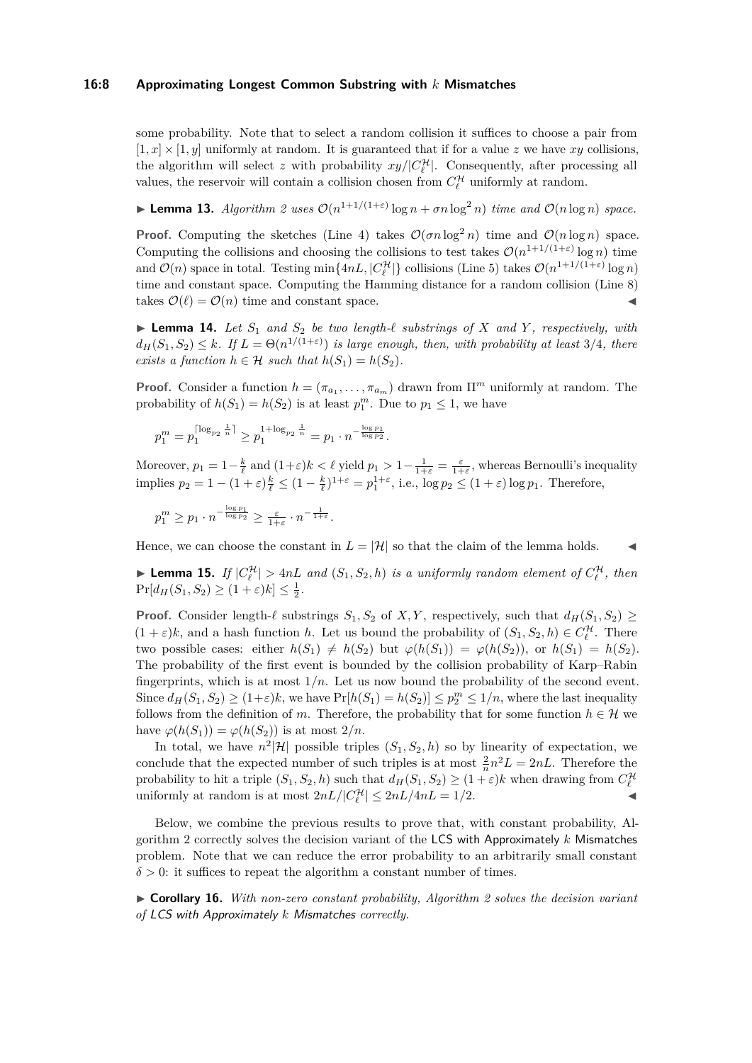#### **16:8 Approximating Longest Common Substring with** *k* **Mismatches**

some probability. Note that to select a random collision it suffices to choose a pair from  $[1, x] \times [1, y]$  uniformly at random. It is guaranteed that if for a value z we have  $xy$  collisions, the algorithm will select *z* with probability  $xy/|C_{\ell}^{\mathcal{H}}|$ . Consequently, after processing all values, the reservoir will contain a collision chosen from  $C_{\ell}^{\mathcal{H}}$  uniformly at random.

<span id="page-7-2"></span>**I Lemma 13.** *Algorithm* [2](#page-6-0) *uses*  $O(n^{1+1/(1+\varepsilon)} \log n + \sigma n \log^2 n)$  *time and*  $O(n \log n)$  *space.* 

**Proof.** Computing the sketches (Line [4\)](#page-6-0) takes  $\mathcal{O}(\sigma n \log^2 n)$  time and  $\mathcal{O}(n \log n)$  space. Computing the collisions and choosing the collisions to test takes  $\mathcal{O}(n^{1+1/(1+\varepsilon)} \log n)$  time and  $\mathcal{O}(n)$  space in total. Testing  $\min\{4nL, |C^{\mathcal{H}}_{\ell}|\}$  collisions (Line [5\)](#page-6-0) takes  $\mathcal{O}(n^{1+1/(1+\varepsilon)}\log n)$ time and constant space. Computing the Hamming distance for a random collision (Line [8\)](#page-6-0) takes  $\mathcal{O}(\ell) = \mathcal{O}(n)$  time and constant space.

<span id="page-7-0"></span> $\blacktriangleright$  **Lemma 14.** Let  $S_1$  and  $S_2$  be two length- $\ell$  substrings of  $X$  and  $Y$ , respectively, with  $d_H(S_1, S_2) \leq k$ *. If*  $L = \Theta(n^{1/(1+\varepsilon)})$  *is large enough, then, with probability at least* 3/4*, there exists a function*  $h \in \mathcal{H}$  *such that*  $h(S_1) = h(S_2)$ .

**Proof.** Consider a function  $h = (\pi_{a_1}, \dots, \pi_{a_m})$  drawn from  $\Pi^m$  uniformly at random. The probability of  $h(S_1) = h(S_2)$  is at least  $p_1^m$ . Due to  $p_1 \leq 1$ , we have

$$
p_1^m = p_1^{\lceil \log_{p_2} \frac{1}{n} \rceil} \ge p_1^{1 + \log_{p_2} \frac{1}{n}} = p_1 \cdot n^{-\frac{\log p_1}{\log p_2}}.
$$

Moreover,  $p_1 = 1 - \frac{k}{\ell}$  and  $(1+\varepsilon)k < \ell$  yield  $p_1 > 1 - \frac{1}{1+\varepsilon} = \frac{\varepsilon}{1+\varepsilon}$ , whereas Bernoulli's inequality implies  $p_2 = 1 - (1 + \varepsilon)\frac{k}{\ell} \leq (1 - \frac{k}{\ell})^{1+\varepsilon} = p_1^{1+\varepsilon}$ , i.e.,  $\log p_2 \leq (1 + \varepsilon) \log p_1$ . Therefore,

$$
p_1^m \ge p_1 \cdot n^{-\frac{\log p_1}{\log p_2}} \ge \frac{\varepsilon}{1+\varepsilon} \cdot n^{-\frac{1}{1+\varepsilon}}.
$$

Hence, we can choose the constant in  $L = |\mathcal{H}|$  so that the claim of the lemma holds.

<span id="page-7-1"></span>**Externment 15.** If  $|C_{\ell}^{\mathcal{H}}| > 4nL$  and  $(S_1, S_2, h)$  is a uniformly random element of  $C_{\ell}^{\mathcal{H}}$ , then  $Pr[d_H(S_1, S_2) \geq (1 + \varepsilon)k] \leq \frac{1}{2}.$ 

**Proof.** Consider length- $\ell$  substrings  $S_1, S_2$  of  $X, Y$ , respectively, such that  $d_H(S_1, S_2) \geq$  $(1 + \varepsilon)k$ , and a hash function *h*. Let us bound the probability of  $(S_1, S_2, h) \in C_{\ell}^{\mathcal{H}}$ . There two possible cases: either  $h(S_1) \neq h(S_2)$  but  $\varphi(h(S_1)) = \varphi(h(S_2))$ , or  $h(S_1) = h(S_2)$ . The probability of the first event is bounded by the collision probability of Karp–Rabin fingerprints, which is at most 1*/n*. Let us now bound the probability of the second event. Since  $d_H(S_1, S_2) \ge (1+\varepsilon)k$ , we have  $Pr[h(S_1) = h(S_2)] \le p_2^m \le 1/n$ , where the last inequality follows from the definition of *m*. Therefore, the probability that for some function  $h \in \mathcal{H}$  we have  $\varphi(h(S_1)) = \varphi(h(S_2))$  is at most  $2/n$ .

In total, we have  $n^2|\mathcal{H}|$  possible triples  $(S_1, S_2, h)$  so by linearity of expectation, we conclude that the expected number of such triples is at most  $\frac{2}{n}n^2L = 2nL$ . Therefore the probability to hit a triple  $(S_1, S_2, h)$  such that  $d_H(S_1, S_2) \geq (1 + \varepsilon)k$  when drawing from  $C_{\ell}^{\mathcal{H}}$ uniformly at random is at most  $2nL/|C_{\ell}^{\mathcal{H}}| \leq 2nL/4nL = 1/2$ .

Below, we combine the previous results to prove that, with constant probability, Algorithm [2](#page-6-0) correctly solves the decision variant of the LCS with Approximately *k* Mismatches problem. Note that we can reduce the error probability to an arbitrarily small constant  $\delta$  > 0: it suffices to repeat the algorithm a constant number of times.

I **Corollary 16.** *With non-zero constant probability, Algorithm [2](#page-6-0) solves the decision variant of* LCS with Approximately *k* Mismatches *correctly.*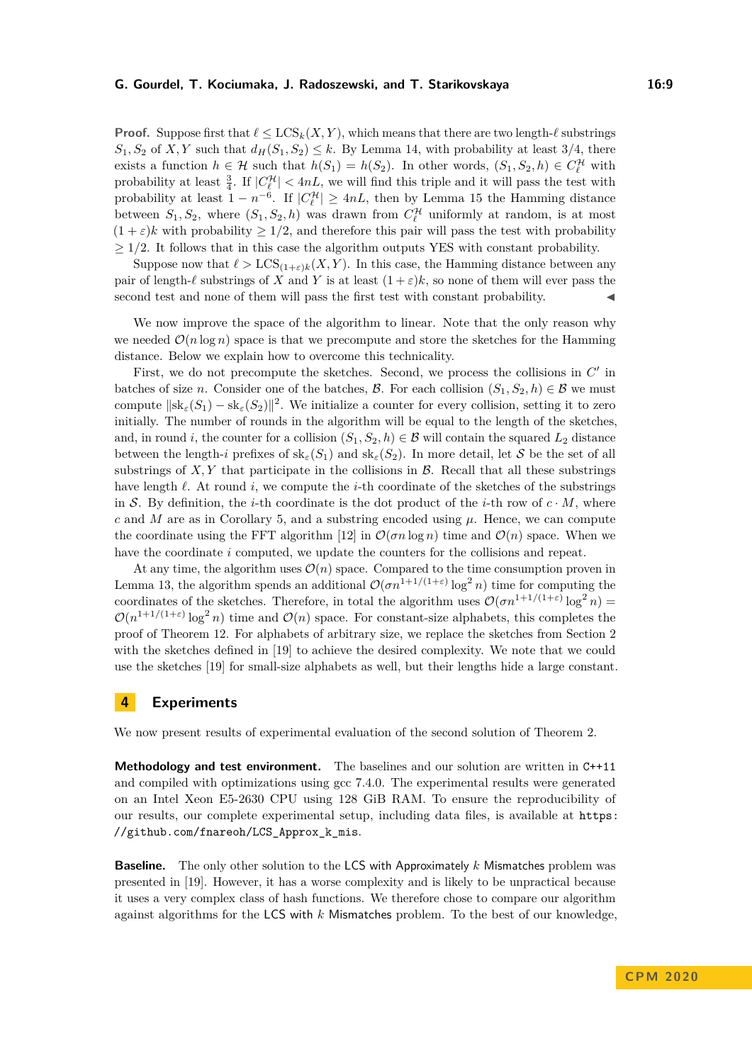**Proof.** Suppose first that  $\ell \leq \text{LCS}_k(X, Y)$ , which means that there are two length- $\ell$  substrings  $S_1, S_2$  of *X,Y* such that  $d_H(S_1, S_2) \leq k$ . By Lemma [14,](#page-7-0) with probability at least 3/4, there exists a function  $h \in \mathcal{H}$  such that  $h(S_1) = h(S_2)$ . In other words,  $(S_1, S_2, h) \in C_{\ell}^{\mathcal{H}}$  with probability at least  $\frac{3}{4}$ . If  $|C_{\ell}^{\mathcal{H}}| < 4nL$ , we will find this triple and it will pass the test with probability at least  $1 - n^{-6}$ . If  $|C_{\ell}^{\mathcal{H}}| \geq 4nL$ , then by Lemma [15](#page-7-1) the Hamming distance between  $S_1, S_2$ , where  $(S_1, S_2, h)$  was drawn from  $C_{\ell}^{\mathcal{H}}$  uniformly at random, is at most  $(1 + \varepsilon)k$  with probability  $\geq 1/2$ , and therefore this pair will pass the test with probability  $\geq$  1/2. It follows that in this case the algorithm outputs YES with constant probability.

Suppose now that  $\ell > \text{LCS}_{(1+\varepsilon)k}(X, Y)$ . In this case, the Hamming distance between any pair of length- $\ell$  substrings of *X* and *Y* is at least  $(1 + \varepsilon)k$ , so none of them will ever pass the second test and none of them will pass the first test with constant probability.

We now improve the space of the algorithm to linear. Note that the only reason why we needed  $\mathcal{O}(n \log n)$  space is that we precompute and store the sketches for the Hamming distance. Below we explain how to overcome this technicality.

First, we do not precompute the sketches. Second, we process the collisions in  $C'$  in batches of size *n*. Consider one of the batches, B. For each collision  $(S_1, S_2, h) \in B$  we must compute  $\|\operatorname{sk}_{\varepsilon}(S_1) - \operatorname{sk}_{\varepsilon}(S_2)\|^2$ . We initialize a counter for every collision, setting it to zero initially. The number of rounds in the algorithm will be equal to the length of the sketches, and, in round *i*, the counter for a collision  $(S_1, S_2, h) \in \mathcal{B}$  will contain the squared  $L_2$  distance between the length-*i* prefixes of  $\text{sk}_{\varepsilon}(S_1)$  and  $\text{sk}_{\varepsilon}(S_2)$ . In more detail, let S be the set of all substrings of  $X, Y$  that participate in the collisions in  $\beta$ . Recall that all these substrings have length  $\ell$ . At round  $i$ , we compute the  $i$ -th coordinate of the sketches of the substrings in S. By definition, the *i*-th coordinate is the dot product of the *i*-th row of  $c \cdot M$ , where  $c$  and  $M$  are as in Corollary [5,](#page-2-2) and a substring encoded using  $\mu$ . Hence, we can compute the coordinate using the FFT algorithm [\[12\]](#page-13-16) in  $\mathcal{O}(\sigma n \log n)$  time and  $\mathcal{O}(n)$  space. When we have the coordinate *i* computed, we update the counters for the collisions and repeat.

At any time, the algorithm uses  $\mathcal{O}(n)$  space. Compared to the time consumption proven in Lemma [13,](#page-7-2) the algorithm spends an additional  $\mathcal{O}(\sigma n^{1+1/(1+\varepsilon)} \log^2 n)$  time for computing the coordinates of the sketches. Therefore, in total the algorithm uses  $\mathcal{O}(\sigma n^{1+1/(1+\varepsilon)} \log^2 n)$  $\mathcal{O}(n^{1+1/(1+\varepsilon)}\log^2 n)$  time and  $\mathcal{O}(n)$  space. For constant-size alphabets, this completes the proof of Theorem [12.](#page-5-1) For alphabets of arbitrary size, we replace the sketches from Section [2](#page-2-1) with the sketches defined in [\[19\]](#page-13-7) to achieve the desired complexity. We note that we could use the sketches [\[19\]](#page-13-7) for small-size alphabets as well, but their lengths hide a large constant.

## <span id="page-8-0"></span>**4 Experiments**

We now present results of experimental evaluation of the second solution of Theorem [2.](#page-1-0)

**Methodology and test environment.** The baselines and our solution are written in C++11 and compiled with optimizations using gcc 7.4.0. The experimental results were generated on an Intel Xeon E5-2630 CPU using 128 GiB RAM. To ensure the reproducibility of our results, our complete experimental setup, including data files, is available at [https:](https://github.com/fnareoh/LCS_Approx_k_mis) [//github.com/fnareoh/LCS\\_Approx\\_k\\_mis](https://github.com/fnareoh/LCS_Approx_k_mis).

**Baseline.** The only other solution to the LCS with Approximately *k* Mismatches problem was presented in [\[19\]](#page-13-7). However, it has a worse complexity and is likely to be unpractical because it uses a very complex class of hash functions. We therefore chose to compare our algorithm against algorithms for the LCS with *k* Mismatches problem. To the best of our knowledge,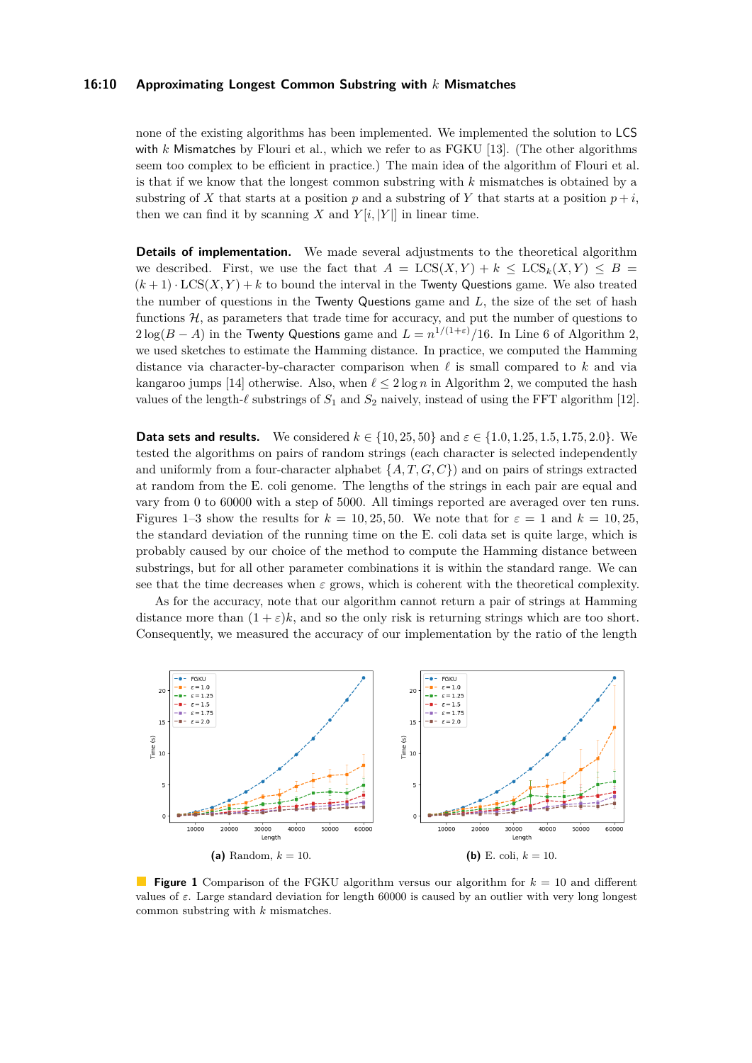#### **16:10 Approximating Longest Common Substring with** *k* **Mismatches**

none of the existing algorithms has been implemented. We implemented the solution to LCS with *k* Mismatches by Flouri et al., which we refer to as FGKU [\[13\]](#page-13-3). (The other algorithms seem too complex to be efficient in practice.) The main idea of the algorithm of Flouri et al. is that if we know that the longest common substring with *k* mismatches is obtained by a substring of *X* that starts at a position *p* and a substring of *Y* that starts at a position  $p + i$ , then we can find it by scanning *X* and  $Y[i, |Y|]$  in linear time.

**Details of implementation.** We made several adjustments to the theoretical algorithm we described. First, we use the fact that  $A = \text{LCS}(X, Y) + k \leq \text{LCS}_k(X, Y) \leq B$  $(k+1) \cdot \text{LCS}(X, Y) + k$  to bound the interval in the Twenty Questions game. We also treated the number of questions in the Twenty Questions game and *L*, the size of the set of hash functions  $H$ , as parameters that trade time for accuracy, and put the number of questions to  $2\log(B-A)$  in the Twenty Questions game and  $L=n^{1/(1+\varepsilon)}/16$ . In Line [6](#page-6-0) of Algorithm [2,](#page-6-0) we used sketches to estimate the Hamming distance. In practice, we computed the Hamming distance via character-by-character comparison when  $\ell$  is small compared to  $k$  and via kangaroo jumps [\[14\]](#page-13-19) otherwise. Also, when  $\ell \leq 2 \log n$  in Algorithm [2,](#page-6-0) we computed the hash values of the length- $\ell$  substrings of  $S_1$  and  $S_2$  naively, instead of using the FFT algorithm [\[12\]](#page-13-16).

**Data sets and results.** We considered  $k \in \{10, 25, 50\}$  and  $\varepsilon \in \{1.0, 1.25, 1.5, 1.75, 2.0\}$ . We tested the algorithms on pairs of random strings (each character is selected independently and uniformly from a four-character alphabet  $\{A, T, G, C\}$  and on pairs of strings extracted at random from the E. coli genome. The lengths of the strings in each pair are equal and vary from 0 to 60000 with a step of 5000. All timings reported are averaged over ten runs. Figures [1–](#page-9-0)[3](#page-10-0) show the results for  $k = 10,25,50$ . We note that for  $\varepsilon = 1$  and  $k = 10,25$ , the standard deviation of the running time on the E. coli data set is quite large, which is probably caused by our choice of the method to compute the Hamming distance between substrings, but for all other parameter combinations it is within the standard range. We can see that the time decreases when  $\varepsilon$  grows, which is coherent with the theoretical complexity.

As for the accuracy, note that our algorithm cannot return a pair of strings at Hamming distance more than  $(1 + \varepsilon)k$ , and so the only risk is returning strings which are too short. Consequently, we measured the accuracy of our implementation by the ratio of the length

<span id="page-9-0"></span>

**Figure 1** Comparison of the FGKU algorithm versus our algorithm for *k* = 10 and different values of  $\varepsilon$ . Large standard deviation for length 60000 is caused by an outlier with very long longest common substring with *k* mismatches.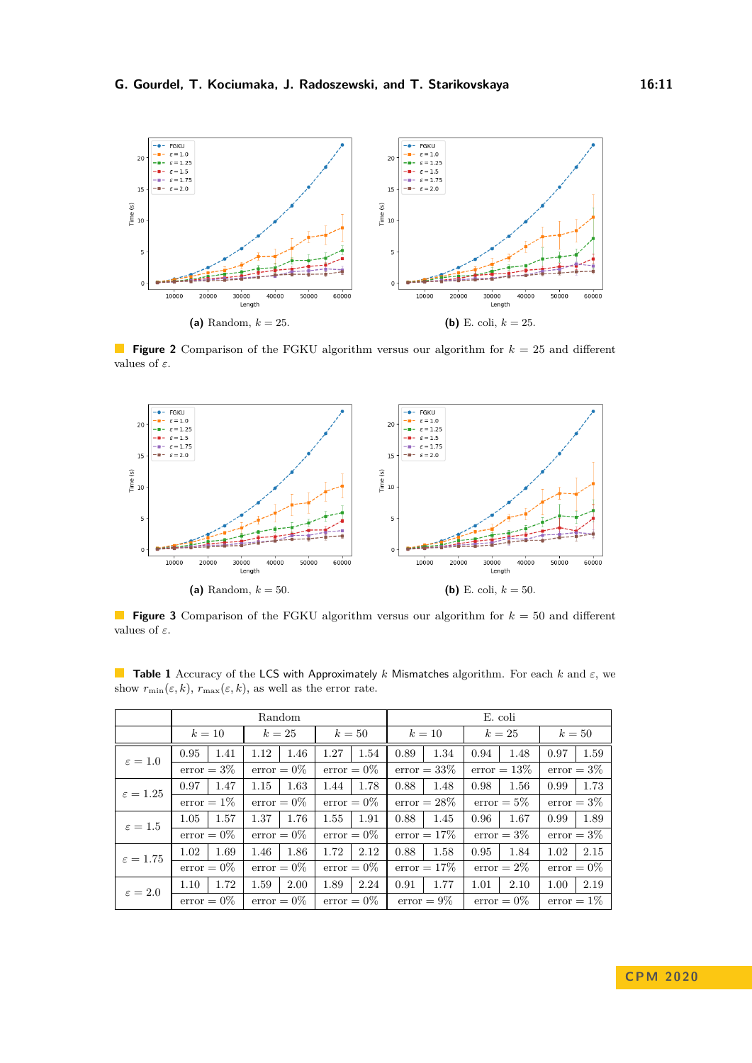

**Figure 2** Comparison of the FGKU algorithm versus our algorithm for *k* = 25 and different values of *ε*.

<span id="page-10-0"></span>

**Figure 3** Comparison of the FGKU algorithm versus our algorithm for *k* = 50 and different values of *ε*.

<span id="page-10-1"></span>**Table 1** Accuracy of the LCS with Approximately *k* Mismatches algorithm. For each *k* and *ε*, we show  $r_{\min}(\varepsilon, k)$ ,  $r_{\max}(\varepsilon, k)$ , as well as the error rate.

|                      | Random        |               |               | E. coli        |                |               |
|----------------------|---------------|---------------|---------------|----------------|----------------|---------------|
|                      | $k=10$        | $k=25$        | $k=50$        | $k=10$         | $k=25$         | $k=50$        |
| $\varepsilon = 1.0$  | 0.95<br>1.41  | 1.46<br>1.12  | 1.27<br>1.54  | 0.89<br>1.34   | 1.48<br>0.94   | 1.59<br>0.97  |
|                      | $error = 3\%$ | $error = 0\%$ | $error = 0\%$ | $error = 33\%$ | $error = 13\%$ | $error = 3\%$ |
| $\varepsilon = 1.25$ | 0.97<br>1.47  | 1.63<br>1.15  | 1.78<br>1.44  | 0.88<br>1.48   | 0.98<br>1.56   | 1.73<br>0.99  |
|                      | $error = 1\%$ | $error = 0\%$ | $error = 0\%$ | $error = 28\%$ | $error = 5\%$  | $error = 3\%$ |
| $\varepsilon = 1.5$  | 1.57<br>1.05  | 1.37<br>1.76  | 1.55<br>1.91  | 0.88<br>1.45   | 0.96<br>1.67   | 1.89<br>0.99  |
|                      | $error = 0\%$ | $error = 0\%$ | $error = 0\%$ | $error = 17\%$ | $error = 3\%$  | $error = 3\%$ |
| $\varepsilon = 1.75$ | 1.69<br>1.02  | 1.46<br>1.86  | 1.72<br>2.12  | 1.58<br>0.88   | 0.95<br>1.84   | 2.15<br>1.02  |
|                      | $error = 0\%$ | $error = 0\%$ | $error = 0\%$ | $error = 17\%$ | $error = 2\%$  | $error = 0\%$ |
| $\varepsilon = 2.0$  | 1.72<br>1.10  | 1.59<br>2.00  | 1.89<br>2.24  | 1.77<br>0.91   | 1.01<br>2.10   | 2.19<br>1.00  |
|                      | $error = 0\%$ | $error = 0\%$ | $error = 0\%$ | $error = 9\%$  | $error = 0\%$  | $error = 1\%$ |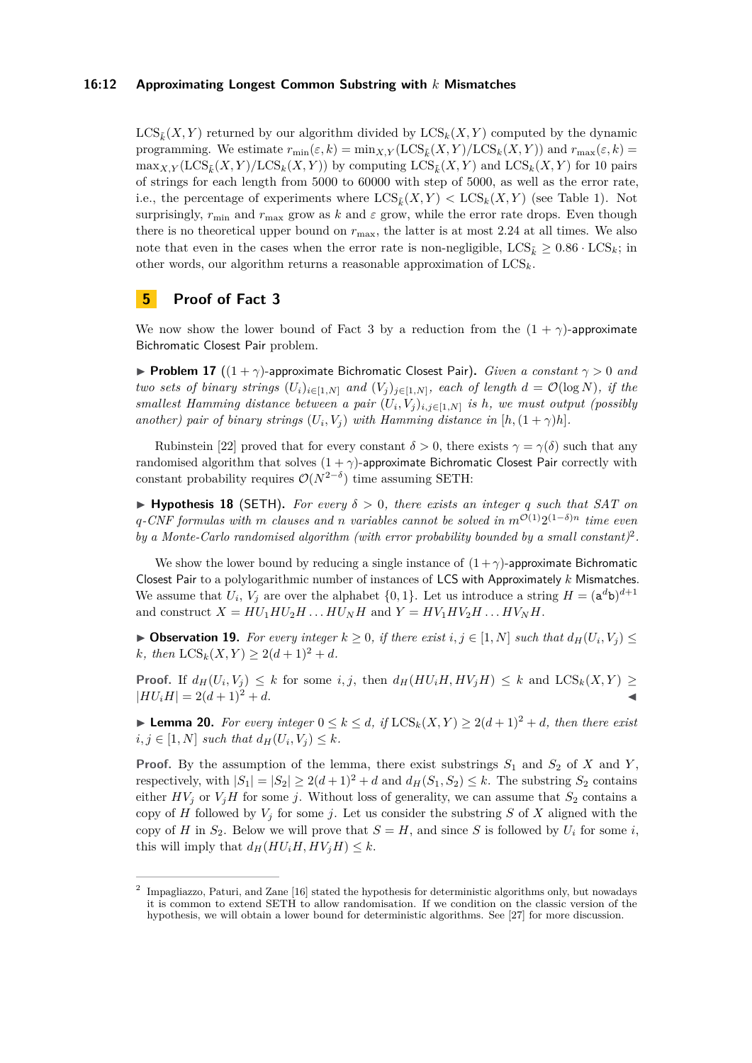#### **16:12 Approximating Longest Common Substring with** *k* **Mismatches**

 $LCS_{\tilde{k}}(X, Y)$  returned by our algorithm divided by  $LCS_{k}(X, Y)$  computed by the dynamic programming. We estimate  $r_{\min}(\varepsilon, k) = \min_{X,Y} (\text{LCS}_{\tilde{k}}(X,Y)/\text{LCS}_{k}(X,Y))$  and  $r_{\max}(\varepsilon, k) =$  $\max_{X}$   $\gamma$  (LCS<sub>*k*</sub></sub> $(X, Y)$ /LCS<sub>*k*</sub> $(X, Y)$ ) by computing LCS<sub>*k*</sub> $(X, Y)$  and LCS<sub>*k*</sub> $(X, Y)$  for 10 pairs of strings for each length from 5000 to 60000 with step of 5000, as well as the error rate, i.e., the percentage of experiments where  $LCS_k(X, Y) < LCS_k(X, Y)$  (see Table [1\)](#page-10-1). Not surprisingly,  $r_{\min}$  and  $r_{\max}$  grow as k and  $\varepsilon$  grow, while the error rate drops. Even though there is no theoretical upper bound on *r*max, the latter is at most 2*.*24 at all times. We also note that even in the cases when the error rate is non-negligible,  $LCS_{\bar{k}} \geq 0.86 \cdot \text{LCS}_k$ ; in other words, our algorithm returns a reasonable approximation of LCS*k*.

## <span id="page-11-0"></span>**5 Proof of Fact [3](#page-1-1)**

We now show the lower bound of Fact [3](#page-1-1) by a reduction from the  $(1 + \gamma)$ -approximate Bichromatic Closest Pair problem.

**Problem 17**  $((1 + \gamma)$ -approximate Bichromatic Closest Pair). *Given a constant*  $\gamma > 0$  *and two sets of binary strings*  $(U_i)_{i \in [1,N]}$  *and*  $(V_j)_{j \in [1,N]}$ *, each of length*  $d = \mathcal{O}(\log N)$ *, if the smallest Hamming distance between a pair*  $(U_i, V_j)_{i,j \in [1,N]}$  *is h, we must output (possibly another)* pair of binary strings  $(U_i, V_j)$  with Hamming distance in  $[h, (1 + \gamma)h]$ .

Rubinstein [\[22\]](#page-13-14) proved that for every constant  $\delta > 0$ , there exists  $\gamma = \gamma(\delta)$  such that any randomised algorithm that solves  $(1 + \gamma)$ -approximate Bichromatic Closest Pair correctly with constant probability requires  $\mathcal{O}(N^{2-\delta})$  time assuming SETH:

 $\blacktriangleright$  **Hypothesis 18** (SETH). For every  $\delta > 0$ , there exists an integer q such that SAT on  $q$ <sup>*-CNF*</sup> formulas with *m clauses and n variables cannot be solved in*  $m^{O(1)}2^{(1-\delta)n}$  *time even by a Monte-Carlo randomised algorithm (with error probability bounded by a small constant)*[2](#page-11-1) *.*

We show the lower bound by reducing a single instance of  $(1 + \gamma)$ -approximate Bichromatic Closest Pair to a polylogarithmic number of instances of LCS with Approximately *k* Mismatches. We assume that  $U_i$ ,  $V_j$  are over the alphabet  $\{0,1\}$ . Let us introduce a string  $H = (a^d b)^{d+1}$ and construct  $X = HU_1 HU_2 H \dots HU_N H$  and  $Y = HV_1 HV_2 H \dots HV_N H$ .

<span id="page-11-2"></span>▶ Observation 19. For every integer  $k ≥ 0$ , if there exist  $i, j ∈ [1, N]$  such that  $d_H(U_i, V_j) ≤$ *k, then*  $LCS_k(X, Y) \geq 2(d+1)^2 + d$ *.* 

**Proof.** If  $d_H(U_i, V_j) \leq k$  for some *i, j,* then  $d_H(HU_iH, HV_jH) \leq k$  and  $LCS_k(X, Y) \geq$  $|HU_iH| = 2(d+1)^2 + d.$ 

<span id="page-11-3"></span>► **Lemma 20.** *For every integer*  $0 \le k \le d$ *, if*  $LCS_k(X, Y) \ge 2(d+1)^2 + d$ *, then there exist*  $i, j \in [1, N]$  *such that*  $d_H(U_i, V_j) \leq k$ .

**Proof.** By the assumption of the lemma, there exist substrings  $S_1$  and  $S_2$  of  $X$  and  $Y$ , respectively, with  $|S_1| = |S_2| \geq 2(d+1)^2 + d$  and  $d_H(S_1, S_2) \leq k$ . The substring  $S_2$  contains either  $HV_j$  or  $V_jH$  for some *j*. Without loss of generality, we can assume that  $S_2$  contains a copy of *H* followed by  $V_i$  for some *j*. Let us consider the substring *S* of *X* aligned with the copy of *H* in  $S_2$ . Below we will prove that  $S = H$ , and since *S* is followed by  $U_i$  for some *i*, this will imply that  $d_H(HU_iH, HV_jH) \leq k$ .

<span id="page-11-1"></span><sup>&</sup>lt;sup>2</sup> Impagliazzo, Paturi, and Zane [\[16\]](#page-13-8) stated the hypothesis for deterministic algorithms only, but nowadays it is common to extend SETH to allow randomisation. If we condition on the classic version of the hypothesis, we will obtain a lower bound for deterministic algorithms. See [\[27\]](#page-14-3) for more discussion.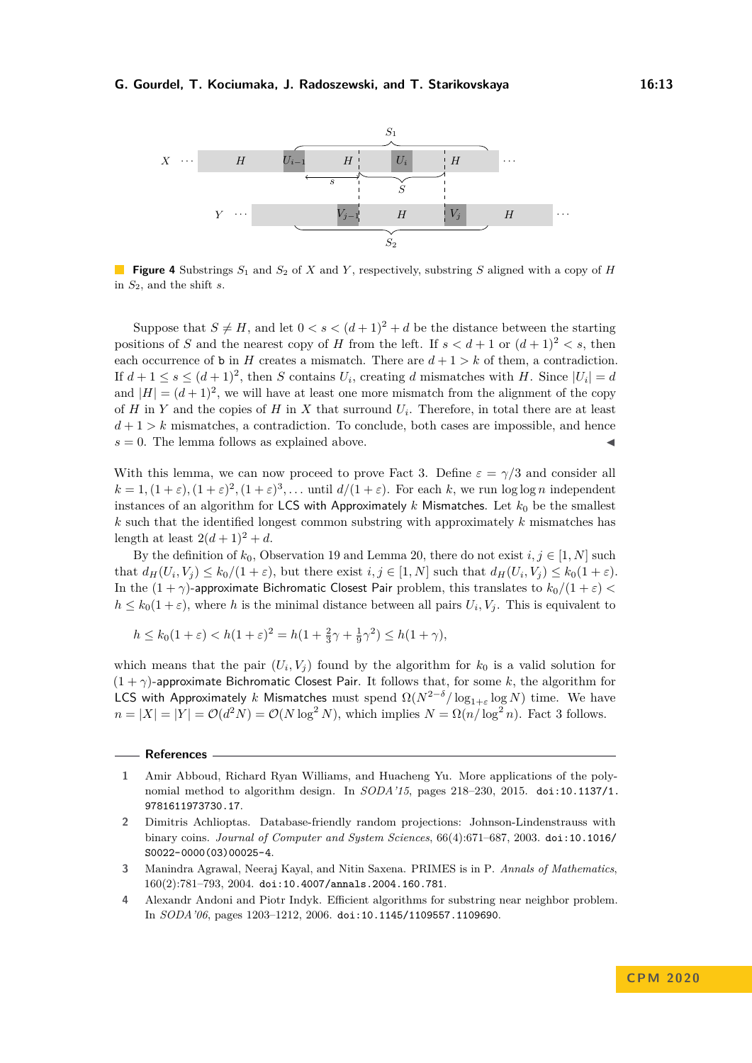

**Figure 4** Substrings *S*<sup>1</sup> and *S*<sup>2</sup> of *X* and *Y* , respectively, substring *S* aligned with a copy of *H* in *S*2, and the shift *s*.

Suppose that  $S \neq H$ , and let  $0 < s < (d+1)^2 + d$  be the distance between the starting positions of *S* and the nearest copy of *H* from the left. If  $s < d+1$  or  $(d+1)^2 < s$ , then each occurrence of **b** in *H* creates a mismatch. There are  $d+1 > k$  of them, a contradiction. If  $d + 1 \leq s \leq (d + 1)^2$ , then *S* contains  $U_i$ , creating *d* mismatches with *H*. Since  $|U_i| = d$ and  $|H| = (d+1)^2$ , we will have at least one more mismatch from the alignment of the copy of *H* in *Y* and the copies of *H* in *X* that surround  $U_i$ . Therefore, in total there are at least  $d+1 > k$  mismatches, a contradiction. To conclude, both cases are impossible, and hence  $s = 0$ . The lemma follows as explained above.

With this lemma, we can now proceed to prove Fact [3.](#page-1-1) Define  $\varepsilon = \gamma/3$  and consider all  $k = 1$ ,  $(1 + \varepsilon)$ ,  $(1 + \varepsilon)^2$ ,  $(1 + \varepsilon)^3$ , ... until  $d/(1 + \varepsilon)$ . For each *k*, we run log log *n* independent instances of an algorithm for LCS with Approximately  $k$  Mismatches. Let  $k_0$  be the smallest *k* such that the identified longest common substring with approximately *k* mismatches has length at least  $2(d+1)^2 + d$ .

By the definition of  $k_0$ , Observation [19](#page-11-2) and Lemma [20,](#page-11-3) there do not exist  $i, j \in [1, N]$  such that  $d_H(U_i, V_j) \leq k_0/(1+\varepsilon)$ , but there exist  $i, j \in [1, N]$  such that  $d_H(U_i, V_j) \leq k_0(1+\varepsilon)$ . In the  $(1 + \gamma)$ -approximate Bichromatic Closest Pair problem, this translates to  $k_0/(1 + \varepsilon)$  $h \leq k_0(1+\varepsilon)$ , where *h* is the minimal distance between all pairs  $U_i, V_j$ . This is equivalent to

$$
h \le k_0(1+\varepsilon) < h(1+\varepsilon)^2 = h(1 + \frac{2}{3}\gamma + \frac{1}{9}\gamma^2) \le h(1+\gamma),
$$

which means that the pair  $(U_i, V_j)$  found by the algorithm for  $k_0$  is a valid solution for (1 + *γ*)-approximate Bichromatic Closest Pair. It follows that, for some *k*, the algorithm for LCS with Approximately *k* Mismatches must spend  $\Omega(N^{2-\delta}/\log_{1+\varepsilon} \log N)$  time. We have  $n = |X| = |Y| = \mathcal{O}(d^2N) = \mathcal{O}(N \log^2 N)$ , which implies  $N = \Omega(n/\log^2 n)$ . Fact [3](#page-1-1) follows.

**References**

<span id="page-12-0"></span>**<sup>1</sup>** Amir Abboud, Richard Ryan Williams, and Huacheng Yu. More applications of the polynomial method to algorithm design. In *SODA'15*, pages 218–230, 2015. [doi:10.1137/1.](https://doi.org/10.1137/1.9781611973730.17) [9781611973730.17](https://doi.org/10.1137/1.9781611973730.17).

<span id="page-12-2"></span>**<sup>2</sup>** Dimitris Achlioptas. Database-friendly random projections: Johnson-Lindenstrauss with binary coins. *Journal of Computer and System Sciences*, 66(4):671–687, 2003. [doi:10.1016/](https://doi.org/10.1016/S0022-0000(03)00025-4) [S0022-0000\(03\)00025-4](https://doi.org/10.1016/S0022-0000(03)00025-4).

<span id="page-12-3"></span>**<sup>3</sup>** Manindra Agrawal, Neeraj Kayal, and Nitin Saxena. PRIMES is in P. *Annals of Mathematics*, 160(2):781–793, 2004. [doi:10.4007/annals.2004.160.781](https://doi.org/10.4007/annals.2004.160.781).

<span id="page-12-1"></span>**<sup>4</sup>** Alexandr Andoni and Piotr Indyk. Efficient algorithms for substring near neighbor problem. In *SODA'06*, pages 1203–1212, 2006. [doi:10.1145/1109557.1109690](https://doi.org/10.1145/1109557.1109690).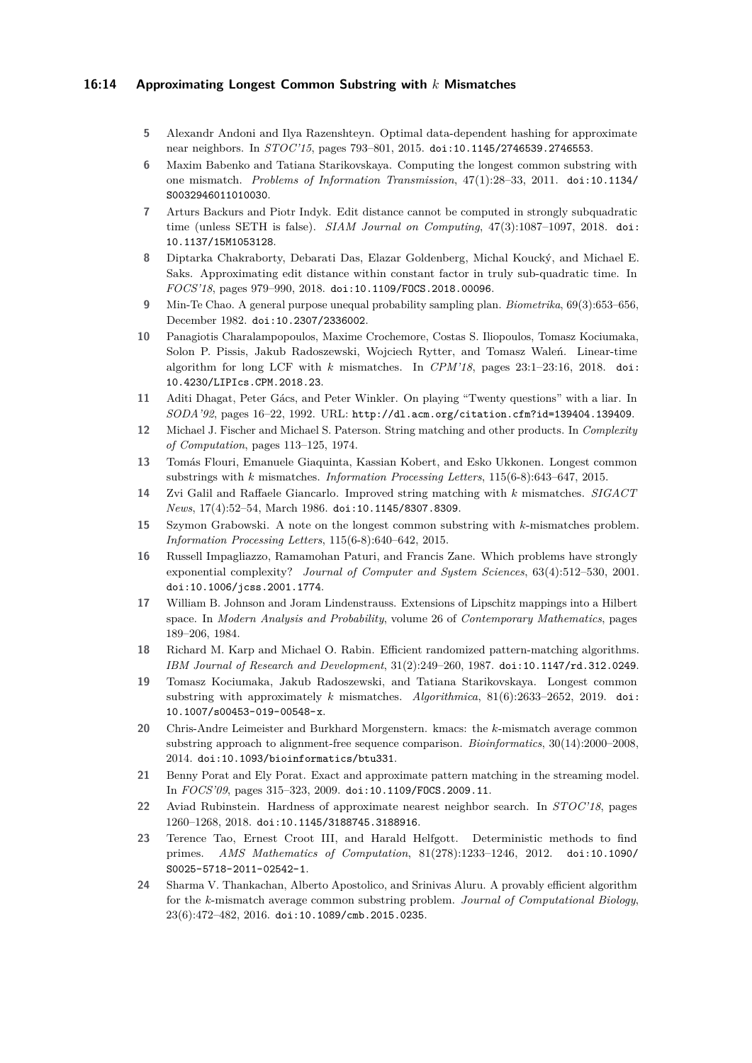#### **16:14 Approximating Longest Common Substring with** *k* **Mismatches**

- <span id="page-13-9"></span>**5** Alexandr Andoni and Ilya Razenshteyn. Optimal data-dependent hashing for approximate near neighbors. In *STOC'15*, pages 793–801, 2015. [doi:10.1145/2746539.2746553](https://doi.org/10.1145/2746539.2746553).
- <span id="page-13-2"></span>**6** Maxim Babenko and Tatiana Starikovskaya. Computing the longest common substring with one mismatch. *Problems of Information Transmission*, 47(1):28–33, 2011. [doi:10.1134/](https://doi.org/10.1134/S0032946011010030) [S0032946011010030](https://doi.org/10.1134/S0032946011010030).
- <span id="page-13-0"></span>**7** Arturs Backurs and Piotr Indyk. Edit distance cannot be computed in strongly subquadratic time (unless SETH is false). *SIAM Journal on Computing*, 47(3):1087–1097, 2018. [doi:](https://doi.org/10.1137/15M1053128) [10.1137/15M1053128](https://doi.org/10.1137/15M1053128).
- <span id="page-13-1"></span>**8** Diptarka Chakraborty, Debarati Das, Elazar Goldenberg, Michal Koucký, and Michael E. Saks. Approximating edit distance within constant factor in truly sub-quadratic time. In *FOCS'18*, pages 979–990, 2018. [doi:10.1109/FOCS.2018.00096](https://doi.org/10.1109/FOCS.2018.00096).
- <span id="page-13-18"></span>**9** Min-Te Chao. A general purpose unequal probability sampling plan. *Biometrika*, 69(3):653–656, December 1982. [doi:10.2307/2336002](https://doi.org/10.2307/2336002).
- <span id="page-13-6"></span>**10** Panagiotis Charalampopoulos, Maxime Crochemore, Costas S. Iliopoulos, Tomasz Kociumaka, Solon P. Pissis, Jakub Radoszewski, Wojciech Rytter, and Tomasz Waleń. Linear-time algorithm for long LCF with *k* mismatches. In *CPM'18*, pages 23:1–23:16, 2018. [doi:](https://doi.org/10.4230/LIPIcs.CPM.2018.23) [10.4230/LIPIcs.CPM.2018.23](https://doi.org/10.4230/LIPIcs.CPM.2018.23).
- <span id="page-13-15"></span>**11** Aditi Dhagat, Peter Gács, and Peter Winkler. On playing "Twenty questions" with a liar. In *SODA'92*, pages 16–22, 1992. URL: <http://dl.acm.org/citation.cfm?id=139404.139409>.
- <span id="page-13-16"></span>**12** Michael J. Fischer and Michael S. Paterson. String matching and other products. In *Complexity of Computation*, pages 113–125, 1974.
- <span id="page-13-3"></span>**13** Tomás Flouri, Emanuele Giaquinta, Kassian Kobert, and Esko Ukkonen. Longest common substrings with *k* mismatches. *Information Processing Letters*, 115(6-8):643–647, 2015.
- <span id="page-13-19"></span>**14** Zvi Galil and Raffaele Giancarlo. Improved string matching with *k* mismatches. *SIGACT News*, 17(4):52–54, March 1986. [doi:10.1145/8307.8309](https://doi.org/10.1145/8307.8309).
- <span id="page-13-4"></span>**15** Szymon Grabowski. A note on the longest common substring with *k*-mismatches problem. *Information Processing Letters*, 115(6-8):640–642, 2015.
- <span id="page-13-8"></span>**16** Russell Impagliazzo, Ramamohan Paturi, and Francis Zane. Which problems have strongly exponential complexity? *Journal of Computer and System Sciences*, 63(4):512–530, 2001. [doi:10.1006/jcss.2001.1774](https://doi.org/10.1006/jcss.2001.1774).
- <span id="page-13-13"></span>**17** William B. Johnson and Joram Lindenstrauss. Extensions of Lipschitz mappings into a Hilbert space. In *Modern Analysis and Probability*, volume 26 of *Contemporary Mathematics*, pages 189–206, 1984.
- <span id="page-13-11"></span>**18** Richard M. Karp and Michael O. Rabin. Efficient randomized pattern-matching algorithms. *IBM Journal of Research and Development*, 31(2):249–260, 1987. [doi:10.1147/rd.312.0249](https://doi.org/10.1147/rd.312.0249).
- <span id="page-13-7"></span>**19** Tomasz Kociumaka, Jakub Radoszewski, and Tatiana Starikovskaya. Longest common substring with approximately *k* mismatches. *Algorithmica*, 81(6):2633–2652, 2019. [doi:](https://doi.org/10.1007/s00453-019-00548-x) [10.1007/s00453-019-00548-x](https://doi.org/10.1007/s00453-019-00548-x).
- <span id="page-13-10"></span>**20** Chris-Andre Leimeister and Burkhard Morgenstern. kmacs: the *k*-mismatch average common substring approach to alignment-free sequence comparison. *Bioinformatics*, 30(14):2000–2008, 2014. [doi:10.1093/bioinformatics/btu331](https://doi.org/10.1093/bioinformatics/btu331).
- <span id="page-13-12"></span>**21** Benny Porat and Ely Porat. Exact and approximate pattern matching in the streaming model. In *FOCS'09*, pages 315–323, 2009. [doi:10.1109/FOCS.2009.11](https://doi.org/10.1109/FOCS.2009.11).
- <span id="page-13-14"></span>**22** Aviad Rubinstein. Hardness of approximate nearest neighbor search. In *STOC'18*, pages 1260–1268, 2018. [doi:10.1145/3188745.3188916](https://doi.org/10.1145/3188745.3188916).
- <span id="page-13-17"></span>**23** Terence Tao, Ernest Croot III, and Harald Helfgott. Deterministic methods to find primes. *AMS Mathematics of Computation*, 81(278):1233–1246, 2012. [doi:10.1090/](https://doi.org/10.1090/S0025-5718-2011-02542-1) [S0025-5718-2011-02542-1](https://doi.org/10.1090/S0025-5718-2011-02542-1).
- <span id="page-13-5"></span>**24** Sharma V. Thankachan, Alberto Apostolico, and Srinivas Aluru. A provably efficient algorithm for the *k*-mismatch average common substring problem. *Journal of Computational Biology*, 23(6):472–482, 2016. [doi:10.1089/cmb.2015.0235](https://doi.org/10.1089/cmb.2015.0235).